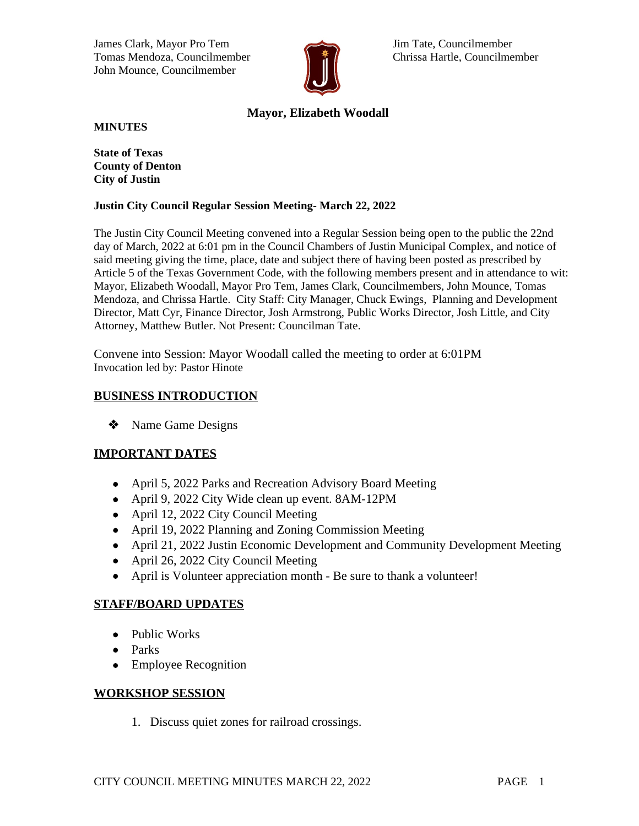James Clark, Mayor Pro Tem Jim Tate, Councilmember Tomas Mendoza, Councilmember **Chrissa Hartle, Councilmember** John Mounce, Councilmember



# **Mayor, Elizabeth Woodall**

**MINUTES**

**State of Texas County of Denton City of Justin**

#### **Justin City Council Regular Session Meeting- March 22, 2022**

The Justin City Council Meeting convened into a Regular Session being open to the public the 22nd day of March, 2022 at 6:01 pm in the Council Chambers of Justin Municipal Complex, and notice of said meeting giving the time, place, date and subject there of having been posted as prescribed by Article 5 of the Texas Government Code, with the following members present and in attendance to wit: Mayor, Elizabeth Woodall, Mayor Pro Tem, James Clark, Councilmembers, John Mounce, Tomas Mendoza, and Chrissa Hartle. City Staff: City Manager, Chuck Ewings, Planning and Development Director, Matt Cyr, Finance Director, Josh Armstrong, Public Works Director, Josh Little, and City Attorney, Matthew Butler. Not Present: Councilman Tate.

Convene into Session: Mayor Woodall called the meeting to order at 6:01PM Invocation led by: Pastor Hinote

# **BUSINESS INTRODUCTION**

**\*** Name Game Designs

# **IMPORTANT DATES**

- April 5, 2022 Parks and Recreation Advisory Board Meeting
- April 9, 2022 City Wide clean up event. 8AM-12PM
- April 12, 2022 City Council Meeting
- April 19, 2022 Planning and Zoning Commission Meeting
- April 21, 2022 Justin Economic Development and Community Development Meeting
- April 26, 2022 City Council Meeting
- April is Volunteer appreciation month Be sure to thank a volunteer!

#### **STAFF/BOARD UPDATES**

- Public Works
- Parks
- Employee Recognition

#### **WORKSHOP SESSION**

1. Discuss quiet zones for railroad crossings.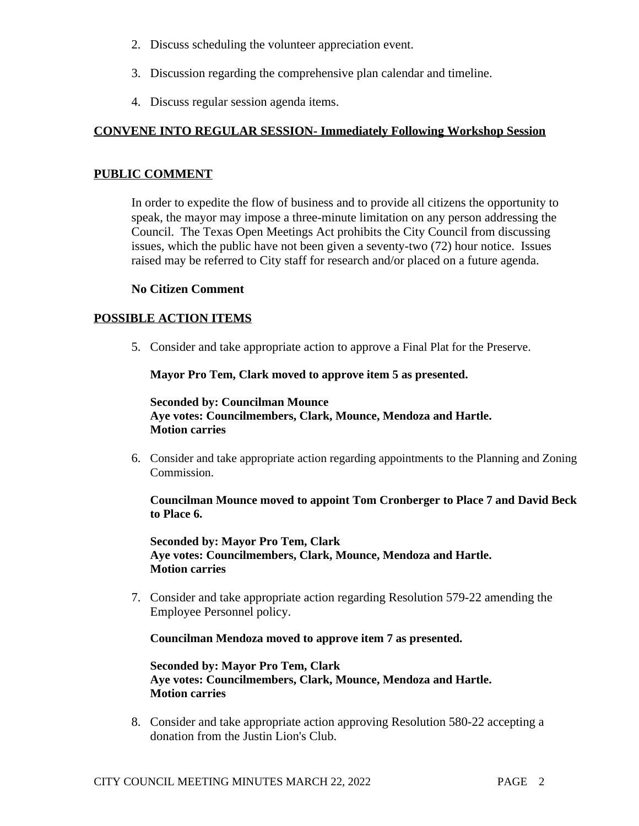- 2. Discuss scheduling the volunteer appreciation event.
- 3. Discussion regarding the comprehensive plan calendar and timeline.
- 4. Discuss regular session agenda items.

# **CONVENE INTO REGULAR SESSION- Immediately Following Workshop Session**

#### **PUBLIC COMMENT**

In order to expedite the flow of business and to provide all citizens the opportunity to speak, the mayor may impose a three-minute limitation on any person addressing the Council. The Texas Open Meetings Act prohibits the City Council from discussing issues, which the public have not been given a seventy-two (72) hour notice. Issues raised may be referred to City staff for research and/or placed on a future agenda.

#### **No Citizen Comment**

# **POSSIBLE ACTION ITEMS**

5. Consider and take appropriate action to approve a Final Plat for the Preserve.

**Mayor Pro Tem, Clark moved to approve item 5 as presented.**

**Seconded by: Councilman Mounce Aye votes: Councilmembers, Clark, Mounce, Mendoza and Hartle. Motion carries**

6. Consider and take appropriate action regarding appointments to the Planning and Zoning Commission.

**Councilman Mounce moved to appoint Tom Cronberger to Place 7 and David Beck to Place 6.**

**Seconded by: Mayor Pro Tem, Clark Aye votes: Councilmembers, Clark, Mounce, Mendoza and Hartle. Motion carries**

7. Consider and take appropriate action regarding Resolution 579-22 amending the Employee Personnel policy.

**Councilman Mendoza moved to approve item 7 as presented.**

**Seconded by: Mayor Pro Tem, Clark Aye votes: Councilmembers, Clark, Mounce, Mendoza and Hartle. Motion carries**

8. Consider and take appropriate action approving Resolution 580-22 accepting a donation from the Justin Lion's Club.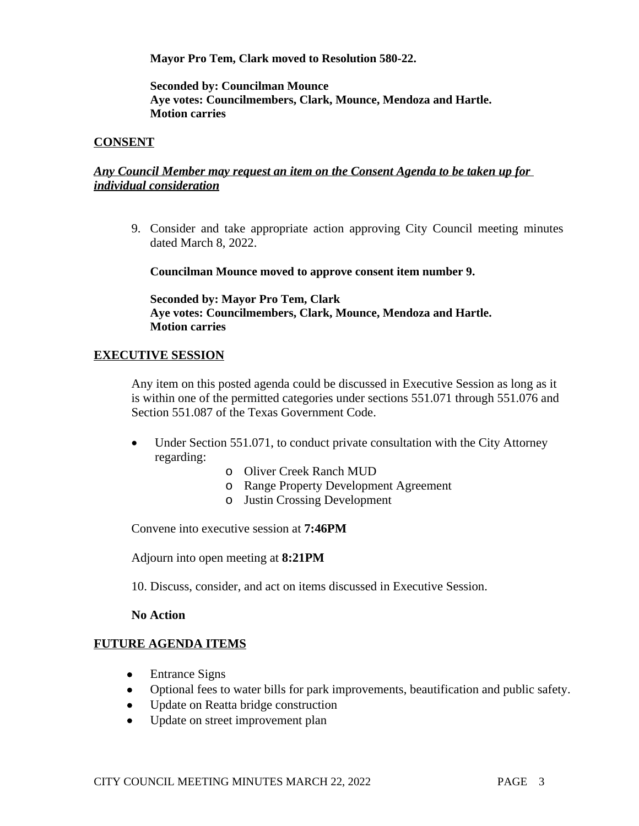**Mayor Pro Tem, Clark moved to Resolution 580-22.**

**Seconded by: Councilman Mounce Aye votes: Councilmembers, Clark, Mounce, Mendoza and Hartle. Motion carries**

#### **CONSENT**

### *Any Council Member may request an item on the Consent Agenda to be taken up for individual consideration*

9. Consider and take appropriate action approving City Council meeting minutes dated March 8, 2022.

**Councilman Mounce moved to approve consent item number 9.** 

**Seconded by: Mayor Pro Tem, Clark Aye votes: Councilmembers, Clark, Mounce, Mendoza and Hartle. Motion carries**

#### **EXECUTIVE SESSION**

Any item on this posted agenda could be discussed in Executive Session as long as it is within one of the permitted categories under sections 551.071 through 551.076 and Section 551.087 of the Texas Government Code.

- Under Section 551.071, to conduct private consultation with the City Attorney regarding:
	- o Oliver Creek Ranch MUD
	- o Range Property Development Agreement
	- o Justin Crossing Development

Convene into executive session at **7:46PM**

Adjourn into open meeting at **8:21PM**

10. Discuss, consider, and act on items discussed in Executive Session.

#### **No Action**

#### **FUTURE AGENDA ITEMS**

- Entrance Signs
- Optional fees to water bills for park improvements, beautification and public safety.
- Update on Reatta bridge construction
- Update on street improvement plan